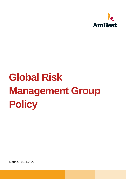

# **Global Risk Management Group Policy**

Madrid, 28.04.2022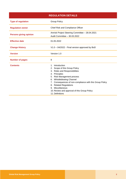| <b>REGULATION DETAILS</b>     |                                                                                                                                                                                                                                                                                                                                            |
|-------------------------------|--------------------------------------------------------------------------------------------------------------------------------------------------------------------------------------------------------------------------------------------------------------------------------------------------------------------------------------------|
| <b>Type of regulation</b>     | <b>Group Policy</b>                                                                                                                                                                                                                                                                                                                        |
| <b>Regulation owner</b>       | Chief Risk and Compliance Officer                                                                                                                                                                                                                                                                                                          |
| <b>Persons giving opinion</b> | Amrisk Project Steering Committee - 28.04.2021<br>Audit Committee - 30.03.2022                                                                                                                                                                                                                                                             |
| <b>Effective date</b>         | 01.05.2022                                                                                                                                                                                                                                                                                                                                 |
| <b>Change History</b>         | V1.0 - 04/2022 - Final version approved by BoD                                                                                                                                                                                                                                                                                             |
| <b>Version</b>                | Version 1.0                                                                                                                                                                                                                                                                                                                                |
| <b>Number of pages</b>        | 9                                                                                                                                                                                                                                                                                                                                          |
| <b>Contents</b>               | 1. Introduction<br>2. Scope of this Group Policy<br>3. Roles and Responsibilities<br>4. Principles<br>5. Risk Management process<br>6. Whistleblowing Channel<br>7. Consequences of non-compliance with this Group Policy<br>8. Related Regulations<br>9. Miscellaneous<br>10. Review and approval of this Group Policy<br>11. Definitions |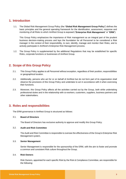## **1. Introduction**

1.1. The Global Risk Management Group Policy (the "**Global Risk Management Group Policy**") defines the basic principles and the general operating framework for the identification, assessment, response and monitoring of all Risks to which AmRest Group is exposed ("**Enterprise Risk Management**" or "**ERM**").

This Group Policy emphasizes the importance of Risk management as an integral part of the prudent business decision-making process and lays the foundation for all Personnel to be considered a Risk manager in the context of their responsibility, to own, identify, manage and monitor their Risks, and to actively participate in AmRest's Enterprise Risk Management process.

1.2. The Group Policy is supplemented by the additional Regulations that may be established for specific Risks, corporate functions or businesses of AmRest Group.

# **2. Scope of this Group Policy**

- 2.1. This Group Policy applies to all Personnel without exception, regardless of their position, responsibilities or geographical location.
- 2.2. Additionally, persons who act for or on behalf of AmRest but do not form part of its organization shall observe the provisions of this Group Policy and undertake to act in accordance with it when exercising their functions.
- 2.3. Moreover, this Group Policy affects all the activities carried out by the Group, both while undertaking professional duties and in the relationship with co-workers, customers, suppliers, business partners and other stakeholders.

## **3. Roles and responsibilities**

The ERM governance in AmRest Group is structured as follows:

#### 3.1. **Board of Directors**

The Board of Directors has exclusive authority to approve and modify this Group Policy.

#### 3.2. **Audit and Risk Committee**

The Audit and Risk Committee is responsible to oversee the effectiveness of the Group's Enterprise Risk Management system.

#### 3.3. **Senior Management**

Senior Management is responsible for the sponsorship of the ERM, with the aim to foster and promote a common and consistent Risk culture throughout the Group.

#### 3.4. **Risk Owners**

Risk Owners, appointed for each specific Risk by the Risk & Compliance Committee, are responsible for the following: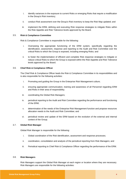- i. Identify variances in the exposure to current Risks or emerging Risks that require a modification in the Group's Risk inventory;
- ii. conduct Risk assessment over the Group's Risk inventory to keep the Risk Map updated; and
- iii. implement the ERM, defining and executing Risk response strategies to mitigate Risks within the Risk Appetite and Risk Tolerance levels approved by the Board.

#### 3.5. **Risk & Compliance Committee**

Risk & Compliance Committee is responsible for the following:

- i. Overseeing the appropriate functioning of the ERM system, specifically regarding the identification, assessment, response and reporting to the Audit and Risk Committee over the critical Risks to which the Group is exposed, including emerging Risks; and
- ii. to foster the implementation of efficient and complete Risk response strategies to mitigate or reduce critical Risks to which the Group is exposed within the Risk Appetite and Risk Tolerance levels approved by the Board.

#### 3.6. **Chief Risk & Compliance Officer**

The Chief Risk & Compliance Officer leads the Risk & Compliance Committee in its responsibilities and is also responsible for the following activities:

- i. Promoting and guiding the Group in the Enterprise Risk Management culture;
- ii. ensuring appropriate communication, training and awareness of all Personnel regarding ERM and Risks in their area of responsibility;
- iii. coordinating the Global Risk Managers;
- iv. periodical reporting to the Audit and Risk Committee regarding the performance and functioning of the ERM;
- v. determination of the needs of the Enterprise Risk Management function and propose resources allocation needs to the Audit and Risk Committee; and
- vi. periodical review and update of the ERM based on the evolution of the external and internal context of the Group.

#### 3.7. **Global Risk Manager**

Global Risk Manager is responsible for the following:

- i. Global coordination of the Risk identification, assessment and response processes;
- ii. coordination, consolidation and analysis of the periodical reporting from Risk Managers; and
- iii. Periodical reporting to Chief Risk & Compliance Officer regarding the performance of the ERM.

#### 3.8. **Risk Managers**

Risk Managers support the Global Risk Manager at each region or location where they are necessary. Risk Managers are responsible for the following activities: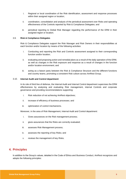- i. Regional or local coordination of the Risk identification, assessment and response processes within their assigned region or location:
- ii. coordination, consolidation and analysis of the periodical assessment over Risks and operating effectiveness of the Controls reported by Risk & Compliance Delegates; and
- iii. periodical reporting to Global Risk Manager regarding the performance of the ERM in their assigned region or location.

#### 3.9. **Risk & Compliance Delegates**

Risk & Compliance Delegates support the Risk Manager and Risk Owners in their responsibilities at each function and/or location by means of the following activities:

- i. Conducting and reporting the Risk and Controls assessment assigned to their corresponding function and/or location;
- ii. evaluating and proposing action and remedial plans as a result of the daily operation of the ERM, as well as changes in the Risk exposure and response as a result of changes in the function and/or location environment; and
- iii. acting as a liaison party between the Risk & Compliance Structure and the different functions and country teams, promoting a consistent Risk culture across AmRest Group.

#### 3.10. **Internal Audit and Control department**

In its role of third line of defense, the Internal Audit and Internal Control department supervises the ERM effectiveness by analysing and evaluating Risk management, internal Controls and corporate governance and providing recommendations supporting:

- i. Risk reduction of not achieving AmRest objectives;
- ii. increase of efficiency of business processes; and
- iii. optimization of control mechanisms.

Moreover, in the area of Risk Management, Internal Audit and Control department:

- i. Gives assurances on the Risk management process;
- ii. gives assurances that the Risks are correctly evaluated;
- iii. assesses Risk Management process;
- iv. assesses the reporting of key Risks; and
- v. reviews the management of key Risks.

## **4. Principles**

In addition to the Group's values, detailed in the Code of Ethics and Business Conduct, AmRest recognizes and adopts the following principles: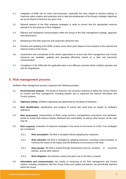- 4.1. Integration of ERM into its vision and processes, especially the ones related to decision-making, to maximize value creation and protection and to help the achievement of the Group's strategic objectives set by the Board of Directors any given time.
- 4.2. Rational balance of the Risk response strategies in order to ensure that the appropriate resource allocation for the purpose of Risk mitigation.
- 4.3. Efficient and transparent communication within the Group of the Risk management strategy, approach and performance.
- 4.4. Monitoring of the Risk exposure and responses along the year.
- 4.5. Revision and updating of the ERM, at least, every three years based on the evolution of the external and internal context of the Group.
- 4.6. Involvement and commitment of the whole organization to ensure that Risk management and Control measures are available, updated and operating effectively, based on a clear and interactive communication.
- 4.7. Compliance of the ERM with the applicable laws in the different countries where AmRest operates and with the Regulations.

## **5. Risk management process**

AmRest's Risk management process comprises the following activities:

- 5.1. **Environmental analysis**: The Board of Directors has exclusive authority to define the Group Policies on Control and Risk management, including taxation and to supervise the internal information and Control systems.
- 5.2. **Objective setting**: AmRest's objectives are determined by the Board of Directors.
- 5.3. **Risk identification**: identification and analysis of events that could have an Impact on AmRest's objectives.
- 5.4. **Risk assessment**: measurement of Risks using common, homogeneous procedures and standards, based on scales that measure Impact, likelihood and vulnerability; as well as other factors, as the case may be.
- 5.5. **Risk response**: evaluation of response strategies in the event of occurrence of a Risk. Four strategies are considered:
	- 5.5.1. **Risk assumption**: the Risk is accepted without adopting any measures.
	- 5.5.2. **Risk reduction**: the Risk is managed by adopting measures, including Control activities, to minimize the extent of the impact and the likelihood of occurrence of the Risk.
	- 5.5.3. **Risk transfer**: the Risk is shared through mechanisms such as contracts or insurance policies, among other options.
	- 5.5.4. **Risk mitigation**: the business activity that gives rise to the Risk is ceased.
- 5.6. **Information and communication**: the results of monitoring of the Risk management and Control system, including compliance with this Group Policy and related procedures, are periodically reported within the Group.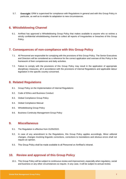5.7. **Oversight**: ERM is supervised for compliance with Regulations in general and with this Group Policy in particular, as well as to enable its adaptation to new circumstances.

## **6. Whistleblowing Channel**

6.1. AmRest has approved a Whistleblowing Group Policy that makes available to anyone who so wishes a strictly confidential whistleblowing channel to collect all reports of Irregularities or breaches of this Group Policy.

## **7. Consequences of non-compliance with this Group Policy**

- 7.1. All Personnel are responsible for complying with the provisions of this Group Policy. The Senior Executives and Directors will be considered as a reference for the correct application and oversee of this Policy in the framework of their competences and daily activities.
- 7.2. Failure to comply with the provisions of this Group Policy may result in the application of appropriate disciplinary measures, all in accordance with the provisions of internal Regulations and applicable labour legislation in the specific country concerned.

## **8. Related Regulations**

- 8.1. Group Policy on the Implementation of Internal Regulations
- 8.2. Code of Ethics and Business Conduct
- 8.3. Global Compliance Group Policy
- 8.4. Global Compliance Manual
- 8.5. Whistleblowing Group Policy
- 8.6. Business Continuity Management Group Policy

## **9. Miscellaneous**

- 9.1. The Regulation is effective from 01/05/2022.
- 9.2. In case of any amendment to the Regulations, this Group Policy applies accordingly. Minor editorial changes, changes involving linguistic corrections, corrections to translations and obvious errors shall not require an opinion.
- 9.3. This Group Policy shall be made available to all Personnel on AmRest's intranet.

## **10. Review and approval of this Group Policy**

10.1. This Group Policy will be subject to continuous review and improvement, especially when regulatory, social and business or any other circumstances so require. In any case, it will be subject to annual review.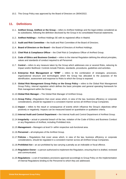10.2. This Group Policy was approved by the Board of Directors on 28/04/2022.

## **11. Definitions**

- 11.1. **AmRest Group, AmRest or the Group –** refers to AmRest Holdings and the legal entities considered as its subsidiaries, following the definition disclosed by the Group in its consolidated financial statements.
- 11.2. **AmRest Holdings –** AmRest Holdings SE with its registered office in Madrid.
- 11.3. **Audit and Risk Committee –** the Audit and Risk Committee of the Board of Directors.
- 11.4. **Board of Directors or the Board –** the Board of Directors of AmRest Holdings.
- 11.5. **Chief Risk & Compliance Officer** the Chief Risk & Compliance Officer of AmRest Group.
- 11.6. **Code of Ethics and Business Conduct –** refers to the internal Regulation defining the ethical principles, values and standards of conduct required to all Personnel.
- 11.7. **Control –** refers to any measure taken by the Group which addresses one or several Risks, reducing its Impact and/or likelihood. Controls include Policies, standards, procedures, guidelines and activities.
- 11.8. **Enterprise Risk Management or "ERM" –** refers to the combination of strategies, processes, organizational structure and technologies which the Group has allocated to the purposes of the identification, assessment and response to Risks to which the Group is exposed.
- 11.9. **Global Risk Management Group Policy or the Group Policy –** refers to the Global Risk Management Group Policy, internal regulation which defines the basic principles and general operating framework for Risk management within the Group.
- 11.10.**Global Risk Manager –** The Global Risk Manager of AmRest Group.
- 11.11.**Group Policy –**Regulations that cover areas which, in view of the law, business efficiency or corporate considerations, should be regulated in a consistent manner across all AmRest Group Companies.
- 11.12.**Impact –** refers to the result or consequence of events which influence the Group's objectives either positively or negatively. Impacts can be measured based on quantitative or qualitative criteria.
- 11.13.**Internal Audit and Control Department –** the Internal Audit and Control Department of AmRest Group.
- 11.14.**Irregularity –** actual or potential breach of the law, violation of the Code of Ethics and Business Conduct or any Regulations of AmRest, including Prohibited Acts.
- 11.15.**Management –** Managers at level 5+ within respective sub-functional area.
- 11.16.**Personnel –** all employees of the AmRest Group.
- 11.17.**Policies –** Regulations that cover areas which, in view of the law, business efficiency or corporate considerations, should be regulated in a consistent manner across all AmRest Group Companies.
- 11.18.**Prohibited Act –** an act prohibited by law carrying a penalty as an indictable or fiscal offence.
- 11.19.**Regulation Owner –** a person authorized to implement the Regulation, ensuring that it is drafted, reviewed and communicated.
- 11.20.**Regulations –** a set of mandatory provisions approved accordingly to Group Policy on the Implementation of Internal Regulations binding to the Personnel to which they are addressed.